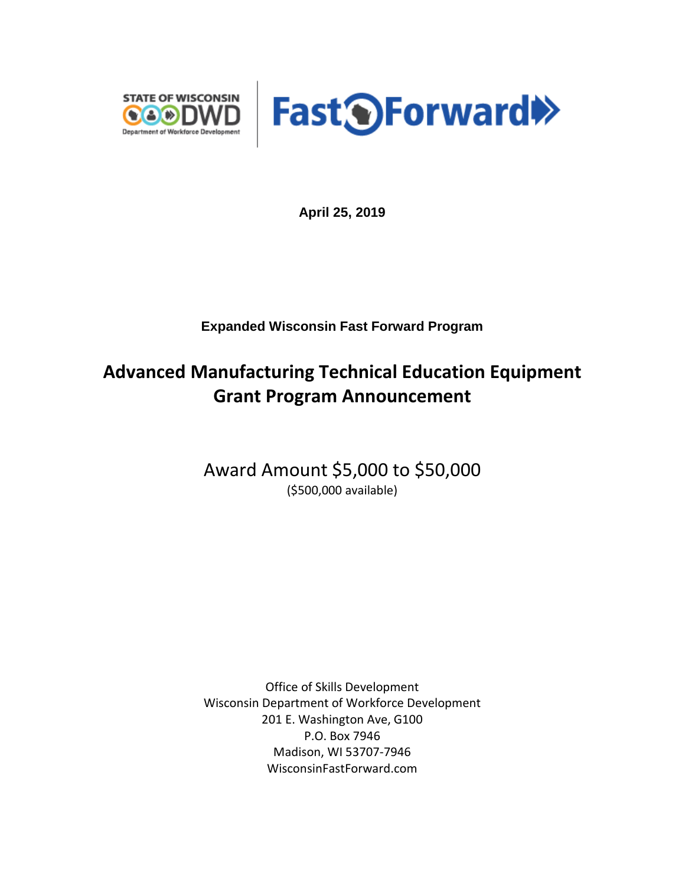



**April 25, 2019**

**Expanded Wisconsin Fast Forward Program**

## **Advanced Manufacturing Technical Education Equipment Grant Program Announcement**

Award Amount \$5,000 to \$50,000 (\$500,000 available)

Office of Skills Development Wisconsin Department of Workforce Development 201 E. Washington Ave, G100 P.O. Box 7946 Madison, WI 53707-7946 WisconsinFastForward.com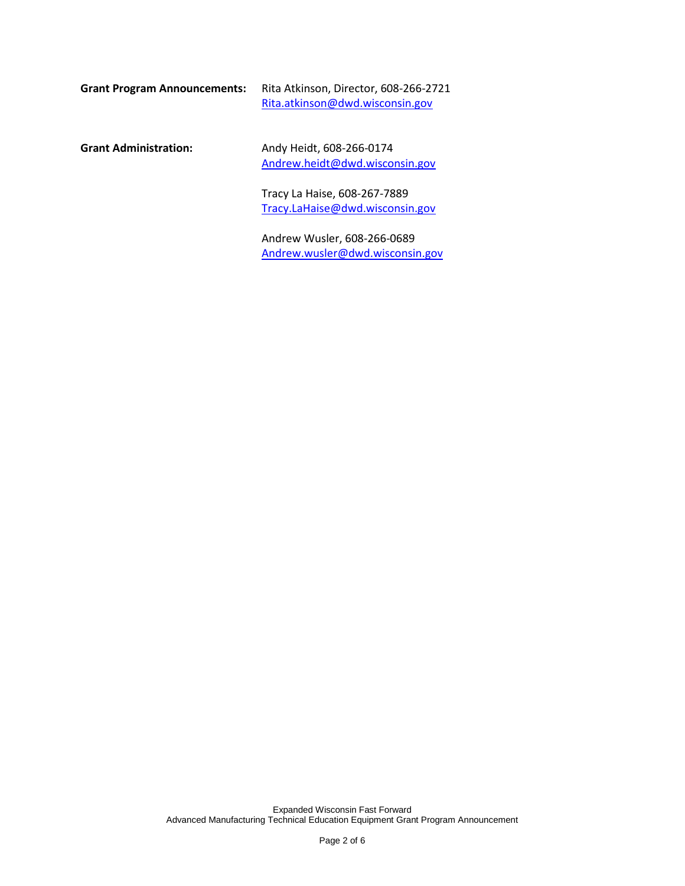| Grant Program Announcements: | Rita Atkinson, Director, 608-266-2721 |
|------------------------------|---------------------------------------|
|                              | Rita.atkinson@dwd.wisconsin.gov       |

**Grant Administration:** Andy Heidt, 608-266-0174 [Andrew.heidt@dwd.wisconsin.gov](mailto:Andrew.heidt@dwd.wisconsin.gov)

> Tracy La Haise, 608-267-7889 [Tracy.LaHaise@dwd.wisconsin.gov](mailto:Tracy.LaHaise@dwd.wisconsin.gov)

Andrew Wusler, 608-266-0689 [Andrew.wusler@dwd.wisconsin.gov](mailto:Andrew.wusler@dwd.wisconsin.gov)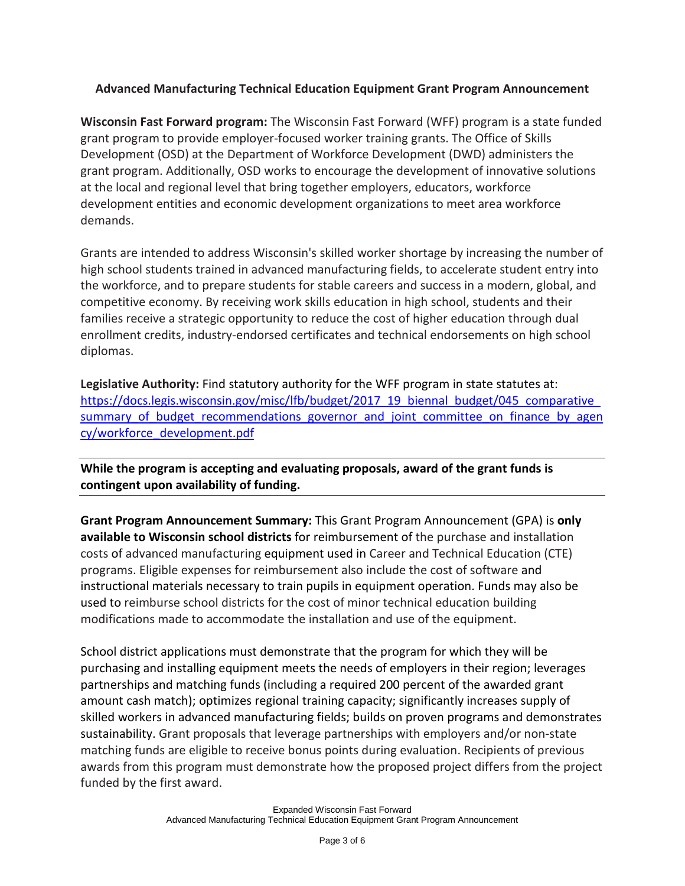## **Advanced Manufacturing Technical Education Equipment Grant Program Announcement**

**Wisconsin Fast Forward program:** The Wisconsin Fast Forward (WFF) program is a state funded grant program to provide employer-focused worker training grants. The Office of Skills Development (OSD) at the Department of Workforce Development (DWD) administers the grant program. Additionally, OSD works to encourage the development of innovative solutions at the local and regional level that bring together employers, educators, workforce development entities and economic development organizations to meet area workforce demands.

Grants are intended to address Wisconsin's skilled worker shortage by increasing the number of high school students trained in advanced manufacturing fields, to accelerate student entry into the workforce, and to prepare students for stable careers and success in a modern, global, and competitive economy. By receiving work skills education in high school, students and their families receive a strategic opportunity to reduce the cost of higher education through dual enrollment credits, industry-endorsed certificates and technical endorsements on high school diplomas.

**Legislative Authority:** Find statutory authority for the WFF program in state statutes at: https://docs.legis.wisconsin.gov/misc/lfb/budget/2017\_19\_biennal\_budget/045\_comparative summary of budget recommendations governor and joint committee on finance by agen [cy/workforce\\_development.pdf](https://docs.legis.wisconsin.gov/misc/lfb/budget/2017_19_biennal_budget/045_comparative_summary_of_budget_recommendations_governor_and_joint_committee_on_finance_by_agency/workforce_development.pdf)

**While the program is accepting and evaluating proposals, award of the grant funds is contingent upon availability of funding.**

**Grant Program Announcement Summary:** This Grant Program Announcement (GPA) is **only available to Wisconsin school districts** for reimbursement of the purchase and installation costs of advanced manufacturing equipment used in Career and Technical Education (CTE) programs. Eligible expenses for reimbursement also include the cost of software and instructional materials necessary to train pupils in equipment operation. Funds may also be used to reimburse school districts for the cost of minor technical education building modifications made to accommodate the installation and use of the equipment.

School district applications must demonstrate that the program for which they will be purchasing and installing equipment meets the needs of employers in their region; leverages partnerships and matching funds (including a required 200 percent of the awarded grant amount cash match); optimizes regional training capacity; significantly increases supply of skilled workers in advanced manufacturing fields; builds on proven programs and demonstrates sustainability. Grant proposals that leverage partnerships with employers and/or non-state matching funds are eligible to receive bonus points during evaluation. Recipients of previous awards from this program must demonstrate how the proposed project differs from the project funded by the first award.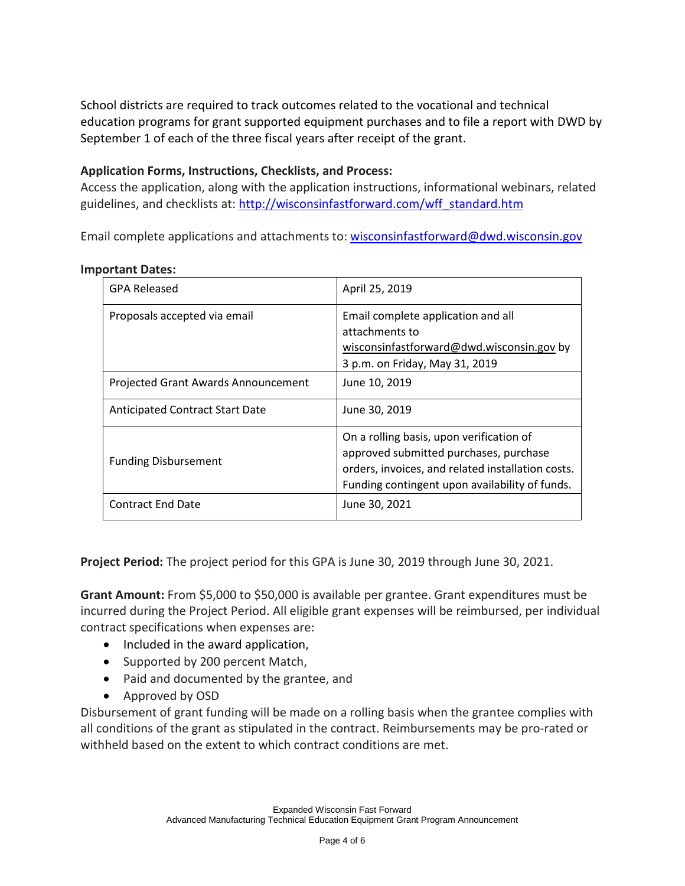School districts are required to track outcomes related to the vocational and technical education programs for grant supported equipment purchases and to file a report with DWD by September 1 of each of the three fiscal years after receipt of the grant.

## **Application Forms, Instructions, Checklists, and Process:**

Access the application, along with the application instructions, informational webinars, related guidelines, and checklists at: [http://wisconsinfastforward.com/wff\\_standard.htm](http://wisconsinfastforward.com/wff_standard.htm)

Email complete applications and attachments to: wisconsinfastforward@dwd.wisconsin.gov

## **Important Dates:**

| <b>GPA Released</b>                 | April 25, 2019                                                                                                                                                                            |
|-------------------------------------|-------------------------------------------------------------------------------------------------------------------------------------------------------------------------------------------|
| Proposals accepted via email        | Email complete application and all<br>attachments to<br>wisconsinfastforward@dwd.wisconsin.gov by<br>3 p.m. on Friday, May 31, 2019                                                       |
| Projected Grant Awards Announcement | June 10, 2019                                                                                                                                                                             |
| Anticipated Contract Start Date     | June 30, 2019                                                                                                                                                                             |
| <b>Funding Disbursement</b>         | On a rolling basis, upon verification of<br>approved submitted purchases, purchase<br>orders, invoices, and related installation costs.<br>Funding contingent upon availability of funds. |
| <b>Contract End Date</b>            | June 30, 2021                                                                                                                                                                             |

**Project Period:** The project period for this GPA is June 30, 2019 through June 30, 2021.

**Grant Amount:** From \$5,000 to \$50,000 is available per grantee. Grant expenditures must be incurred during the Project Period. All eligible grant expenses will be reimbursed, per individual contract specifications when expenses are:

- Included in the award application,
- Supported by 200 percent Match,
- Paid and documented by the grantee, and
- Approved by OSD

Disbursement of grant funding will be made on a rolling basis when the grantee complies with all conditions of the grant as stipulated in the contract. Reimbursements may be pro-rated or withheld based on the extent to which contract conditions are met.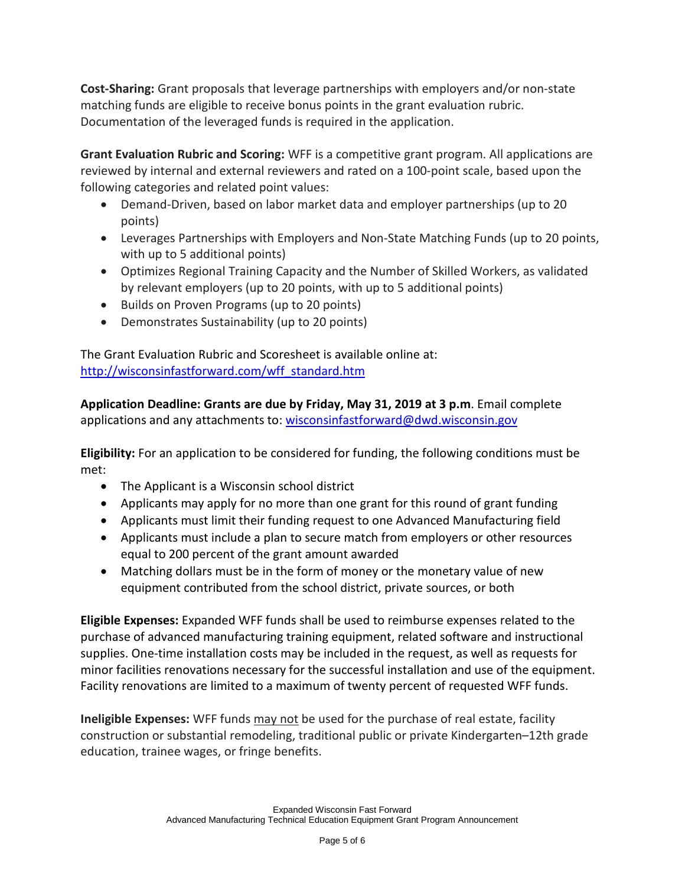**Cost-Sharing:** Grant proposals that leverage partnerships with employers and/or non-state matching funds are eligible to receive bonus points in the grant evaluation rubric. Documentation of the leveraged funds is required in the application.

**Grant Evaluation Rubric and Scoring:** WFF is a competitive grant program. All applications are reviewed by internal and external reviewers and rated on a 100-point scale, based upon the following categories and related point values:

- Demand-Driven, based on labor market data and employer partnerships (up to 20 points)
- Leverages Partnerships with Employers and Non-State Matching Funds (up to 20 points, with up to 5 additional points)
- Optimizes Regional Training Capacity and the Number of Skilled Workers, as validated by relevant employers (up to 20 points, with up to 5 additional points)
- Builds on Proven Programs (up to 20 points)
- Demonstrates Sustainability (up to 20 points)

The Grant Evaluation Rubric and Scoresheet is available online at: [http://wisconsinfastforward.com/wff\\_standard.htm](http://wisconsinfastforward.com/wff_standard.htm)

**Application Deadline: Grants are due by Friday, May 31, 2019 at 3 p.m**. Email complete applications and any attachments to: [wisconsinfastforward@dwd.wisconsin.gov](mailto:wisconsinfastforward@dwd.wisconsin.gov)

**Eligibility:** For an application to be considered for funding, the following conditions must be met:

- The Applicant is a Wisconsin school district
- Applicants may apply for no more than one grant for this round of grant funding
- Applicants must limit their funding request to one Advanced Manufacturing field
- Applicants must include a plan to secure match from employers or other resources equal to 200 percent of the grant amount awarded
- Matching dollars must be in the form of money or the monetary value of new equipment contributed from the school district, private sources, or both

**Eligible Expenses:** Expanded WFF funds shall be used to reimburse expenses related to the purchase of advanced manufacturing training equipment, related software and instructional supplies. One-time installation costs may be included in the request, as well as requests for minor facilities renovations necessary for the successful installation and use of the equipment. Facility renovations are limited to a maximum of twenty percent of requested WFF funds.

**Ineligible Expenses:** WFF funds may not be used for the purchase of real estate, facility construction or substantial remodeling, traditional public or private Kindergarten–12th grade education, trainee wages, or fringe benefits.